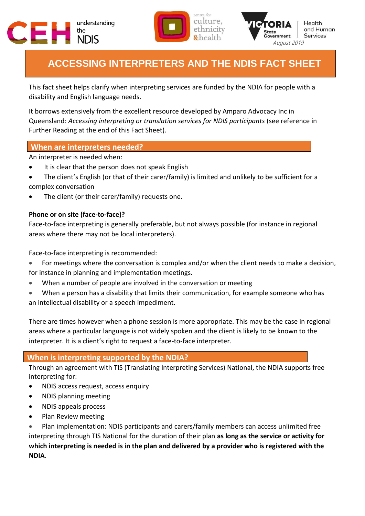





# **ACCESSING INTERPRETERS AND THE NDIS FACT SHEET**

This fact sheet helps clarify when interpreting services are funded by the NDIA for people with a disability and English language needs.

It borrows extensively from the excellent resource developed by Amparo Advocacy Inc in Queensland: *Accessing interpreting or translation services for NDIS participants* (see reference in Further Reading at the end of this Fact Sheet).

## **When are interpreters needed?**

An interpreter is needed when:

- It is clear that the person does not speak English
- The client's English (or that of their carer/family) is limited and unlikely to be sufficient for a complex conversation
- The client (or their carer/family) requests one.

### **Phone or on site (face-to-face)?**

Face-to-face interpreting is generally preferable, but not always possible (for instance in regional areas where there may not be local interpreters).

Face-to-face interpreting is recommended:

- For meetings where the conversation is complex and/or when the client needs to make a decision, for instance in planning and implementation meetings.
- When a number of people are involved in the conversation or meeting
- When a person has a disability that limits their communication, for example someone who has an intellectual disability or a speech impediment.

There are times however when a phone session is more appropriate. This may be the case in regional areas where a particular language is not widely spoken and the client is likely to be known to the interpreter. It is a client's right to request a face-to-face interpreter.

## **When is interpreting supported by the NDIA?**

Through an agreement with TIS (Translating Interpreting Services) National, the NDIA supports free interpreting for:

- NDIS access request, access enquiry
- NDIS planning meeting
- NDIS appeals process
- Plan Review meeting

 Plan implementation: NDIS participants and carers/family members can access unlimited free interpreting through TIS National for the duration of their plan **as long as the service or activity for which interpreting is needed is in the plan and delivered by a provider who is registered with the NDIA**.